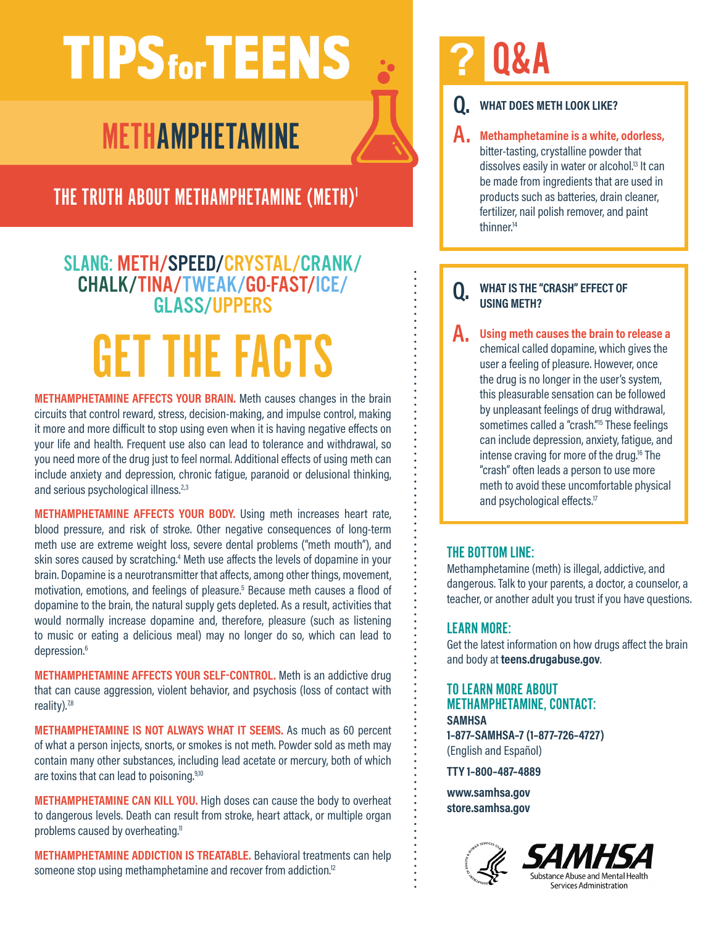# **TIPS** for **TEENS**

# METHAMPHETAMINE

THE TRUTH ABOUT METHAMPHETAMINE (METH)<sup>1</sup>

### SLANG: METH/SPEED/CRYSTAL/CRANK/ CHALK/TINA/TWEAK/GO-FAST/ICE/ GLASS/UPPERS

# GET THE FACTS

**METHAMPHETAMINE AFFECTS YOUR BRAIN.** Meth causes changes in the brain circuits that control reward, stress, decision-making, and impulse control, making it more and more difficult to stop using even when it is having negative effects on your life and health. Frequent use also can lead to tolerance and withdrawal, so you need more of the drug just to feel normal. Additional effects of using meth can include anxiety and depression, chronic fatigue, paranoid or delusional thinking, and serious psychological illness.<sup>2,3</sup>

**METHAMPHETAMINE AFFECTS YOUR BODY.** Using meth increases heart rate, blood pressure, and risk of stroke. Other negative consequences of long-term meth use are extreme weight loss, severe dental problems ("meth mouth"), and skin sores caused by scratching.<sup>4</sup> Meth use affects the levels of dopamine in your brain. Dopamine is a neurotransmitter that affects, among other things, movement, motivation, emotions, and feelings of pleasure.<sup>5</sup> Because meth causes a flood of dopamine to the brain, the natural supply gets depleted. As a result, activities that would normally increase dopamine and, therefore, pleasure (such as listening to music or eating a delicious meal) may no longer do so, which can lead to depression.<sup>6</sup>

**METHAMPHETAMINE AFFECTS YOUR SELF-CONTROL.** Meth is an addictive drug that can cause aggression, violent behavior, and psychosis (loss of contact with reality).<sup>78</sup>

**METHAMPHETAMINE IS NOT ALWAYS WHAT IT SEEMS.** As much as 60 percent of what a person injects, snorts, or smokes is not meth. Powder sold as meth may contain many other substances, including lead acetate or mercury, both of which are toxins that can lead to poisoning.<sup>9,10</sup>

**METHAMPHETAMINE CAN KILL YOU.** High doses can cause the body to overheat to dangerous levels. Death can result from stroke, heart attack, or multiple organ problems caused by overheating.<sup>11</sup>

**METHAMPHETAMINE ADDICTION IS TREATABLE.** Behavioral treatments can help someone stop using methamphetamine and recover from addiction.<sup>12</sup>

# **?** Q&A

### **Q. WHAT DOES METH LOOK LIKE?**

**A. Methamphetamine is a white, odorless,**  bitter-tasting, crystalline powder that dissolves easily in water or alcohol.<sup>13</sup> It can be made from ingredients that are used in products such as batteries, drain cleaner, fertilizer, nail polish remover, and paint thinner.<sup>14</sup>

#### **Q. WHAT IS THE "CRASH" EFFECT OF USING METH?**

**A. Using meth causes the brain to release a** chemical called dopamine, which gives the user a feeling of pleasure. However, once the drug is no longer in the user's system, this pleasurable sensation can be followed by unpleasant feelings of drug withdrawal, sometimes called a "crash."<sup>15</sup> These feelings can include depression, anxiety, fatigue, and intense craving for more of the drug.<sup>16</sup> The "crash" often leads a person to use more meth to avoid these uncomfortable physical and psychological effects.<sup>17</sup>

### THE BOTTOM LINE:

Methamphetamine (meth) is illegal, addictive, and dangerous. Talk to your parents, a doctor, a counselor, a teacher, or another adult you trust if you have questions.

#### LEARN MORE:

Get the latest information on how drugs affect the brain and body at **teens.drugabuse.gov**.

#### TO LEARN MORE ABOUT METHAMPHETAMINE, CONTACT: **SAMHSA 1–877–SAMHSA–7 (1–877–726–4727)**

(English and Español)

**TTY 1–800–487–4889**

**www.samhsa.gov store.samhsa.gov**